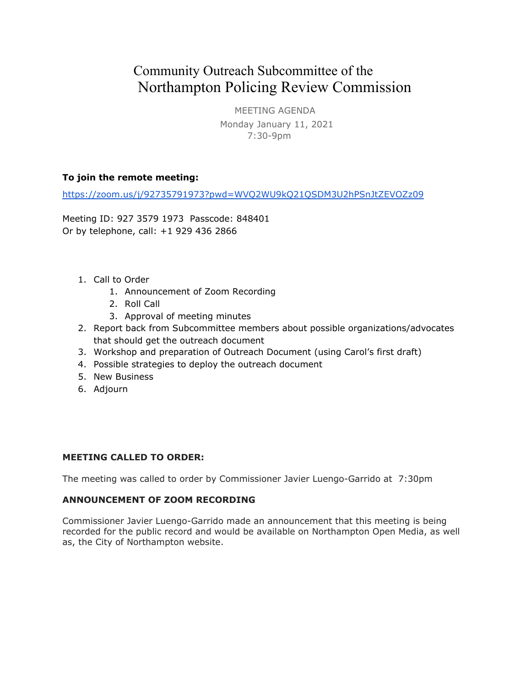# Community Outreach Subcommittee of the Northampton Policing Review Commission

MEETING AGENDA Monday January 11, 2021 7:30-9pm

## **To join the remote meeting:**

<https://zoom.us/j/92735791973?pwd=WVQ2WU9kQ21QSDM3U2hPSnJtZEVOZz09>

Meeting ID: 927 3579 1973 Passcode: 848401 Or by telephone, call: +1 929 436 2866

- 1. Call to Order
	- 1. Announcement of Zoom Recording
	- 2. Roll Call
	- 3. Approval of meeting minutes
- 2. Report back from Subcommittee members about possible organizations/advocates that should get the outreach document
- 3. Workshop and preparation of Outreach Document (using Carol's first draft)
- 4. Possible strategies to deploy the outreach document
- 5. New Business
- 6. Adjourn

## **MEETING CALLED TO ORDER:**

The meeting was called to order by Commissioner Javier Luengo-Garrido at 7:30pm

#### **ANNOUNCEMENT OF ZOOM RECORDING**

Commissioner Javier Luengo-Garrido made an announcement that this meeting is being recorded for the public record and would be available on Northampton Open Media, as well as, the City of Northampton website.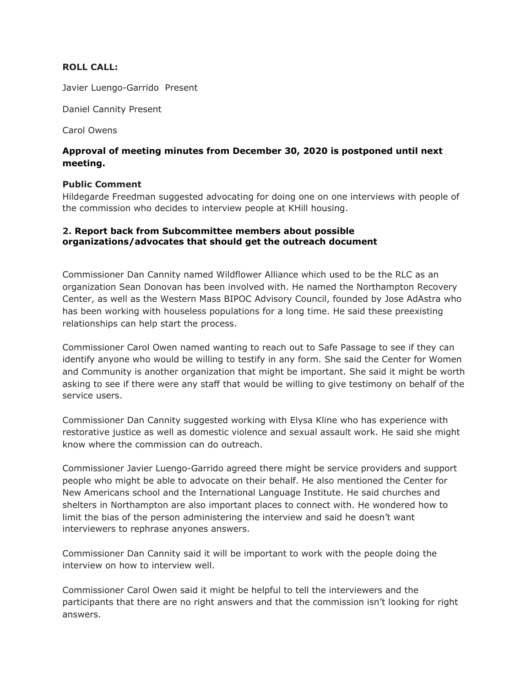#### **ROLL CALL:**

Javier Luengo-Garrido Present

Daniel Cannity Present

Carol Owens

## **Approval of meeting minutes from December 30, 2020 is postponed until next meeting.**

#### **Public Comment**

Hildegarde Freedman suggested advocating for doing one on one interviews with people of the commission who decides to interview people at KHill housing.

### **2. Report back from Subcommittee members about possible organizations/advocates that should get the outreach document**

Commissioner Dan Cannity named Wildflower Alliance which used to be the RLC as an organization Sean Donovan has been involved with. He named the Northampton Recovery Center, as well as the Western Mass BIPOC Advisory Council, founded by Jose AdAstra who has been working with houseless populations for a long time. He said these preexisting relationships can help start the process.

Commissioner Carol Owen named wanting to reach out to Safe Passage to see if they can identify anyone who would be willing to testify in any form. She said the Center for Women and Community is another organization that might be important. She said it might be worth asking to see if there were any staff that would be willing to give testimony on behalf of the service users.

Commissioner Dan Cannity suggested working with Elysa Kline who has experience with restorative justice as well as domestic violence and sexual assault work. He said she might know where the commission can do outreach.

Commissioner Javier Luengo-Garrido agreed there might be service providers and support people who might be able to advocate on their behalf. He also mentioned the Center for New Americans school and the International Language Institute. He said churches and shelters in Northampton are also important places to connect with. He wondered how to limit the bias of the person administering the interview and said he doesn't want interviewers to rephrase anyones answers.

Commissioner Dan Cannity said it will be important to work with the people doing the interview on how to interview well.

Commissioner Carol Owen said it might be helpful to tell the interviewers and the participants that there are no right answers and that the commission isn't looking for right answers.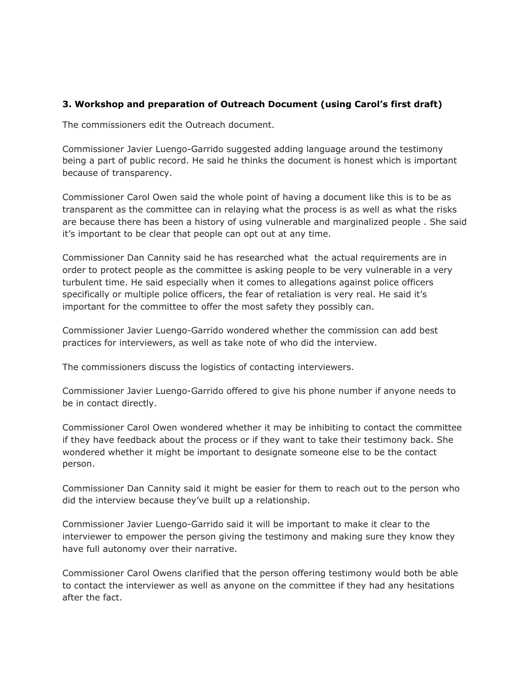## **3. Workshop and preparation of Outreach Document (using Carol's first draft)**

The commissioners edit the Outreach document.

Commissioner Javier Luengo-Garrido suggested adding language around the testimony being a part of public record. He said he thinks the document is honest which is important because of transparency.

Commissioner Carol Owen said the whole point of having a document like this is to be as transparent as the committee can in relaying what the process is as well as what the risks are because there has been a history of using vulnerable and marginalized people . She said it's important to be clear that people can opt out at any time.

Commissioner Dan Cannity said he has researched what the actual requirements are in order to protect people as the committee is asking people to be very vulnerable in a very turbulent time. He said especially when it comes to allegations against police officers specifically or multiple police officers, the fear of retaliation is very real. He said it's important for the committee to offer the most safety they possibly can.

Commissioner Javier Luengo-Garrido wondered whether the commission can add best practices for interviewers, as well as take note of who did the interview.

The commissioners discuss the logistics of contacting interviewers.

Commissioner Javier Luengo-Garrido offered to give his phone number if anyone needs to be in contact directly.

Commissioner Carol Owen wondered whether it may be inhibiting to contact the committee if they have feedback about the process or if they want to take their testimony back. She wondered whether it might be important to designate someone else to be the contact person.

Commissioner Dan Cannity said it might be easier for them to reach out to the person who did the interview because they've built up a relationship.

Commissioner Javier Luengo-Garrido said it will be important to make it clear to the interviewer to empower the person giving the testimony and making sure they know they have full autonomy over their narrative.

Commissioner Carol Owens clarified that the person offering testimony would both be able to contact the interviewer as well as anyone on the committee if they had any hesitations after the fact.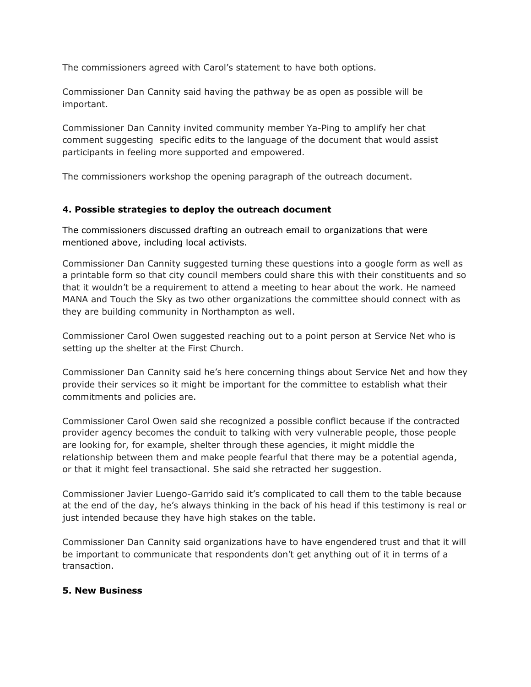The commissioners agreed with Carol's statement to have both options.

Commissioner Dan Cannity said having the pathway be as open as possible will be important.

Commissioner Dan Cannity invited community member Ya-Ping to amplify her chat comment suggesting specific edits to the language of the document that would assist participants in feeling more supported and empowered.

The commissioners workshop the opening paragraph of the outreach document.

## **4. Possible strategies to deploy the outreach document**

The commissioners discussed drafting an outreach email to organizations that were mentioned above, including local activists.

Commissioner Dan Cannity suggested turning these questions into a google form as well as a printable form so that city council members could share this with their constituents and so that it wouldn't be a requirement to attend a meeting to hear about the work. He nameed MANA and Touch the Sky as two other organizations the committee should connect with as they are building community in Northampton as well.

Commissioner Carol Owen suggested reaching out to a point person at Service Net who is setting up the shelter at the First Church.

Commissioner Dan Cannity said he's here concerning things about Service Net and how they provide their services so it might be important for the committee to establish what their commitments and policies are.

Commissioner Carol Owen said she recognized a possible conflict because if the contracted provider agency becomes the conduit to talking with very vulnerable people, those people are looking for, for example, shelter through these agencies, it might middle the relationship between them and make people fearful that there may be a potential agenda, or that it might feel transactional. She said she retracted her suggestion.

Commissioner Javier Luengo-Garrido said it's complicated to call them to the table because at the end of the day, he's always thinking in the back of his head if this testimony is real or just intended because they have high stakes on the table.

Commissioner Dan Cannity said organizations have to have engendered trust and that it will be important to communicate that respondents don't get anything out of it in terms of a transaction.

#### **5. New Business**